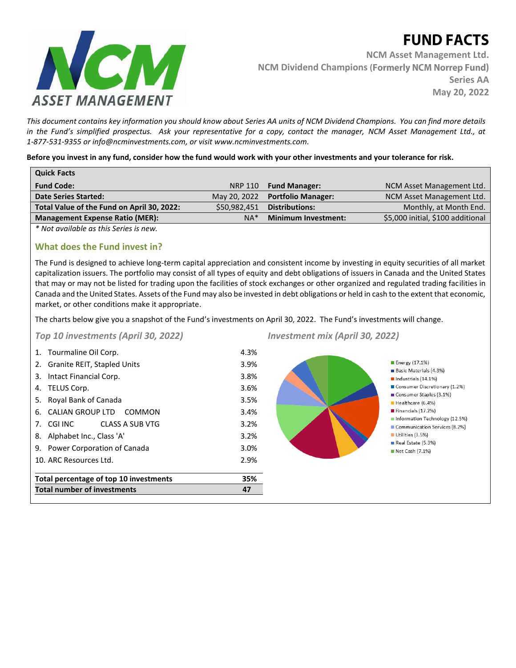# **FUND FACTS**



**NCM Asset Management Ltd. NCM Dividend Champions (Formerly NCM Norrep Fund) Series AA May 20, 2022**

*This document contains key information you should know about Series AA units of NCM Dividend Champions. You can find more details in the Fund's simplified prospectus. Ask your representative for a copy, contact the manager, NCM Asset Management Ltd., at 1-877-531-9355 or info@ncminvestments.com, or visit www.ncminvestments.com.*

**Before you invest in any fund, consider how the fund would work with your other investments and your tolerance for risk.** 

| <b>Quick Facts</b>                         |                |                            |                                   |
|--------------------------------------------|----------------|----------------------------|-----------------------------------|
| <b>Fund Code:</b>                          | <b>NRP 110</b> | <b>Fund Manager:</b>       | NCM Asset Management Ltd.         |
| <b>Date Series Started:</b>                | May 20, 2022   | <b>Portfolio Manager:</b>  | NCM Asset Management Ltd.         |
| Total Value of the Fund on April 30, 2022: | \$50,982,451   | <b>Distributions:</b>      | Monthly, at Month End.            |
| <b>Management Expense Ratio (MER):</b>     | $NA*$          | <b>Minimum Investment:</b> | \$5,000 initial, \$100 additional |
|                                            |                |                            |                                   |

*\* Not available as this Series is new.*

## **What does the Fund invest in?**

The Fund is designed to achieve long-term capital appreciation and consistent income by investing in equity securities of all market capitalization issuers. The portfolio may consist of all types of equity and debt obligations of issuers in Canada and the United States that may or may not be listed for trading upon the facilities of stock exchanges or other organized and regulated trading facilities in Canada and the United States. Assets of the Fund may also be invested in debt obligations or held in cash to the extent that economic, market, or other conditions make it appropriate.

The charts below give you a snapshot of the Fund's investments on April 30, 2022. The Fund's investments will change.

*Top 10 investments (April 30, 2022)*



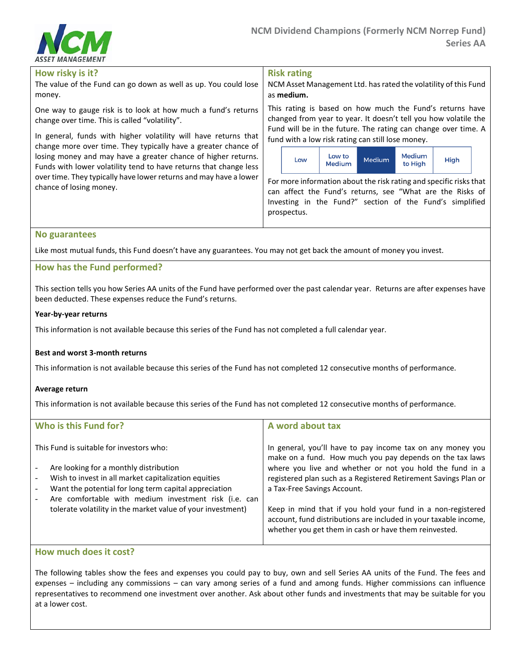

#### **How risky is it?**

The value of the Fund can go down as well as up. You could lose money.

One way to gauge risk is to look at how much a fund's returns change over time. This is called "volatility".

In general, funds with higher volatility will have returns that change more over time. They typically have a greater chance of losing money and may have a greater chance of higher returns. Funds with lower volatility tend to have returns that change less over time. They typically have lower returns and may have a lower chance of losing money.

**Risk rating** 

NCM Asset Management Ltd. has rated the volatility of this Fund as **medium.**

This rating is based on how much the Fund's returns have changed from year to year. It doesn't tell you how volatile the Fund will be in the future. The rating can change over time. A fund with a low risk rating can still lose money.



For more information about the risk rating and specific risks that can affect the Fund's returns, see "What are the Risks of Investing in the Fund?" section of the Fund's simplified prospectus.

## **No guarantees**

Like most mutual funds, this Fund doesn't have any guarantees. You may not get back the amount of money you invest.

## **How has the Fund performed?**

This section tells you how Series AA units of the Fund have performed over the past calendar year. Returns are after expenses have been deducted. These expenses reduce the Fund's returns.

#### **Year-by-year returns**

This information is not available because this series of the Fund has not completed a full calendar year.

## **Best and worst 3-month returns**

This information is not available because this series of the Fund has not completed 12 consecutive months of performance.

#### **Average return**

This information is not available because this series of the Fund has not completed 12 consecutive months of performance.

| Who is this Fund for?                                                             | A word about tax                                                                                                          |
|-----------------------------------------------------------------------------------|---------------------------------------------------------------------------------------------------------------------------|
| This Fund is suitable for investors who:                                          | In general, you'll have to pay income tax on any money you<br>make on a fund. How much you pay depends on the tax laws    |
| Are looking for a monthly distribution<br>$\overline{a}$                          | where you live and whether or not you hold the fund in a                                                                  |
| Wish to invest in all market capitalization equities<br>$\overline{a}$            | registered plan such as a Registered Retirement Savings Plan or                                                           |
| Want the potential for long term capital appreciation<br>$\overline{\phantom{a}}$ | a Tax-Free Savings Account.                                                                                               |
| Are comfortable with medium investment risk (i.e. can                             |                                                                                                                           |
| tolerate volatility in the market value of your investment)                       | Keep in mind that if you hold your fund in a non-registered                                                               |
|                                                                                   | account, fund distributions are included in your taxable income,<br>whether you get them in cash or have them reinvested. |

## **How much does it cost?**

The following tables show the fees and expenses you could pay to buy, own and sell Series AA units of the Fund. The fees and expenses – including any commissions – can vary among series of a fund and among funds. Higher commissions can influence representatives to recommend one investment over another. Ask about other funds and investments that may be suitable for you at a lower cost.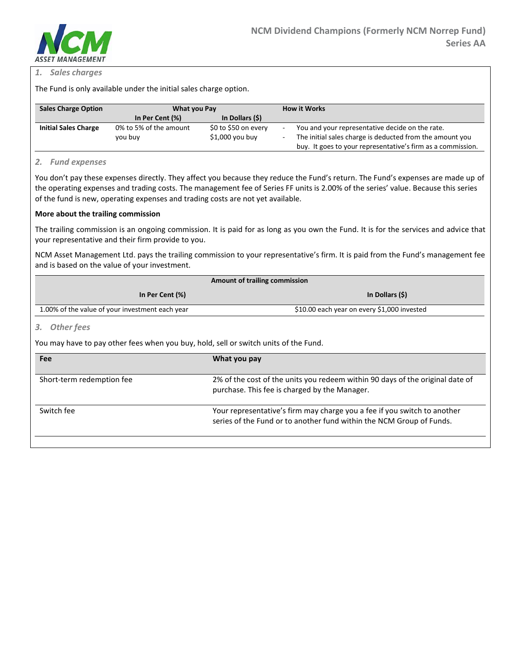

## *1. Sales charges*

The Fund is only available under the initial sales charge option.

| <b>Sales Charge Option</b>  | What you Pay           |                      | <b>How it Works</b>                                         |
|-----------------------------|------------------------|----------------------|-------------------------------------------------------------|
|                             | In Per Cent (%)        | In Dollars (\$)      |                                                             |
| <b>Initial Sales Charge</b> | 0% to 5% of the amount | \$0 to \$50 on every | You and your representative decide on the rate.             |
|                             | you buy                | $$1,000$ you buy     | The initial sales charge is deducted from the amount you    |
|                             |                        |                      | buy. It goes to your representative's firm as a commission. |

#### *2. Fund expenses*

You don't pay these expenses directly. They affect you because they reduce the Fund's return. The Fund's expenses are made up of the operating expenses and trading costs. The management fee of Series FF units is 2.00% of the series' value. Because this series of the fund is new, operating expenses and trading costs are not yet available.

#### **More about the trailing commission**

The trailing commission is an ongoing commission. It is paid for as long as you own the Fund. It is for the services and advice that your representative and their firm provide to you.

NCM Asset Management Ltd. pays the trailing commission to your representative's firm. It is paid from the Fund's management fee and is based on the value of your investment.

| Amount of trailing commission                   |                                             |  |
|-------------------------------------------------|---------------------------------------------|--|
| In Per Cent (%)                                 | In Dollars (\$)                             |  |
| 1.00% of the value of your investment each year | \$10.00 each year on every \$1,000 invested |  |

## *3. Other fees*

You may have to pay other fees when you buy, hold, sell or switch units of the Fund.

| Fee                       | What you pay                                                                                                                                     |
|---------------------------|--------------------------------------------------------------------------------------------------------------------------------------------------|
| Short-term redemption fee | 2% of the cost of the units you redeem within 90 days of the original date of<br>purchase. This fee is charged by the Manager.                   |
| Switch fee                | Your representative's firm may charge you a fee if you switch to another<br>series of the Fund or to another fund within the NCM Group of Funds. |